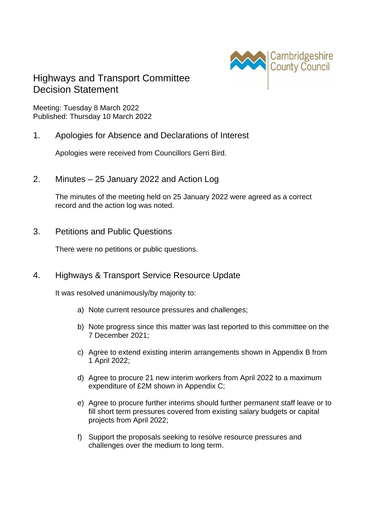

# Highways and Transport Committee Decision Statement

Meeting: Tuesday 8 March 2022 Published: Thursday 10 March 2022

#### 1. Apologies for Absence and Declarations of Interest

Apologies were received from Councillors Gerri Bird.

2. Minutes – 25 January 2022 and Action Log

The minutes of the meeting held on 25 January 2022 were agreed as a correct record and the action log was noted.

3. Petitions and Public Questions

There were no petitions or public questions.

#### 4. Highways & Transport Service Resource Update

It was resolved unanimously/by majority to:

- a) Note current resource pressures and challenges;
- b) Note progress since this matter was last reported to this committee on the 7 December 2021;
- c) Agree to extend existing interim arrangements shown in Appendix B from 1 April 2022;
- d) Agree to procure 21 new interim workers from April 2022 to a maximum expenditure of £2M shown in Appendix C;
- e) Agree to procure further interims should further permanent staff leave or to fill short term pressures covered from existing salary budgets or capital projects from April 2022;
- f) Support the proposals seeking to resolve resource pressures and challenges over the medium to long term.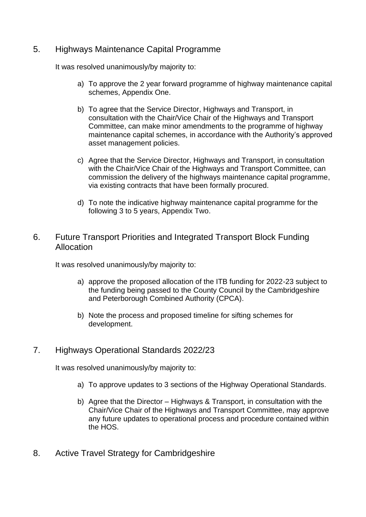## 5. Highways Maintenance Capital Programme

It was resolved unanimously/by majority to:

- a) To approve the 2 year forward programme of highway maintenance capital schemes, Appendix One.
- b) To agree that the Service Director, Highways and Transport, in consultation with the Chair/Vice Chair of the Highways and Transport Committee, can make minor amendments to the programme of highway maintenance capital schemes, in accordance with the Authority's approved asset management policies.
- c) Agree that the Service Director, Highways and Transport, in consultation with the Chair/Vice Chair of the Highways and Transport Committee, can commission the delivery of the highways maintenance capital programme, via existing contracts that have been formally procured.
- d) To note the indicative highway maintenance capital programme for the following 3 to 5 years, Appendix Two.

### 6. Future Transport Priorities and Integrated Transport Block Funding Allocation

It was resolved unanimously/by majority to:

- a) approve the proposed allocation of the ITB funding for 2022-23 subject to the funding being passed to the County Council by the Cambridgeshire and Peterborough Combined Authority (CPCA).
- b) Note the process and proposed timeline for sifting schemes for development.

## 7. Highways Operational Standards 2022/23

It was resolved unanimously/by majority to:

- a) To approve updates to 3 sections of the Highway Operational Standards.
- b) Agree that the Director Highways & Transport, in consultation with the Chair/Vice Chair of the Highways and Transport Committee, may approve any future updates to operational process and procedure contained within the HOS.
- 8. Active Travel Strategy for Cambridgeshire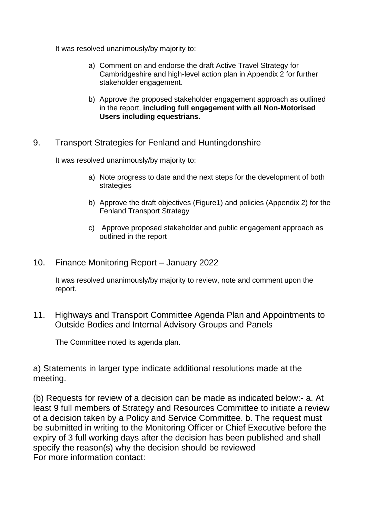It was resolved unanimously/by majority to:

- a) Comment on and endorse the draft Active Travel Strategy for Cambridgeshire and high-level action plan in Appendix 2 for further stakeholder engagement.
- b) Approve the proposed stakeholder engagement approach as outlined in the report, **including full engagement with all Non-Motorised Users including equestrians.**
- 9. Transport Strategies for Fenland and Huntingdonshire

It was resolved unanimously/by majority to:

- a) Note progress to date and the next steps for the development of both strategies
- b) Approve the draft objectives (Figure1) and policies (Appendix 2) for the Fenland Transport Strategy
- c) Approve proposed stakeholder and public engagement approach as outlined in the report
- 10. Finance Monitoring Report January 2022

It was resolved unanimously/by majority to review, note and comment upon the report.

11. Highways and Transport Committee Agenda Plan and Appointments to Outside Bodies and Internal Advisory Groups and Panels

The Committee noted its agenda plan.

a) Statements in larger type indicate additional resolutions made at the meeting.

(b) Requests for review of a decision can be made as indicated below:- a. At least 9 full members of Strategy and Resources Committee to initiate a review of a decision taken by a Policy and Service Committee. b. The request must be submitted in writing to the Monitoring Officer or Chief Executive before the expiry of 3 full working days after the decision has been published and shall specify the reason(s) why the decision should be reviewed For more information contact: